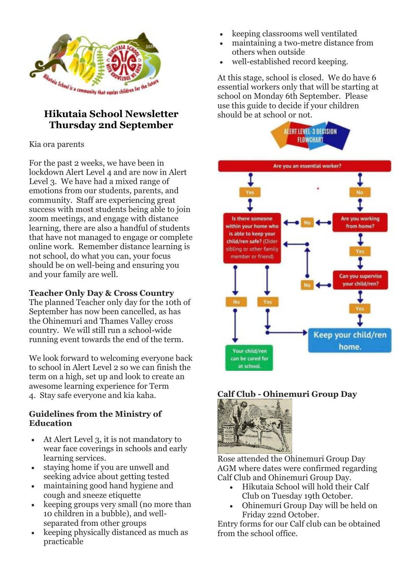

## **Hikutaia School Newsletter Thursday 2nd September**

## Kia ora parents

For the past 2 weeks, we have been in lockdown Alert Level 4 and are now in Alert Level 3. We have had a mixed range of emotions from our students, parents, and community. Staff are experiencing great success with most students being able to join zoom meetings, and engage with distance learning, there are also a handful of students that have not managed to engage or complete online work. Remember distance learning is not school, do what you can, your focus should be on well-being and ensuring you and your family are well.

### **Teacher Only Day & Cross Country**

The planned Teacher only day for the 10th of September has now been cancelled, as has the Ohinemuri and Thames Valley cross country. We will still run a school-wide running event towards the end of the term.

We look forward to welcoming everyone back to school in Alert Level 2 so we can finish the term on a high, set up and look to create an awesome learning experience for Term 4. Stay safe everyone and kia kaha.

### **Guidelines from the Ministry of Education**

- At Alert Level 3, it is not mandatory to wear face coverings in schools and early learning services.
- staying home if you are unwell and seeking advice about getting tested
- maintaining good hand hygiene and cough and sneeze etiquette
- keeping groups very small (no more than 10 children in a bubble), and wellseparated from other groups
- keeping physically distanced as much as practicable
- keeping classrooms well ventilated
- maintaining a two-metre distance from others when outside
- well-established record keeping.

At this stage, school is closed. We do have 6 essential workers only that will be starting at school on Monday 6th September. Please use this guide to decide if your children should be at school or not.



### **Calf Club - Ohinemuri Group Day**



Rose attended the Ohinemuri Group Day AGM where dates were confirmed regarding Calf Club and Ohinemuri Group Day.

- Hikutaia School will hold their Calf Club on Tuesday 19th October.
- Ohinemuri Group Day will be held on Friday 22nd October.

Entry forms for our Calf club can be obtained from the school office.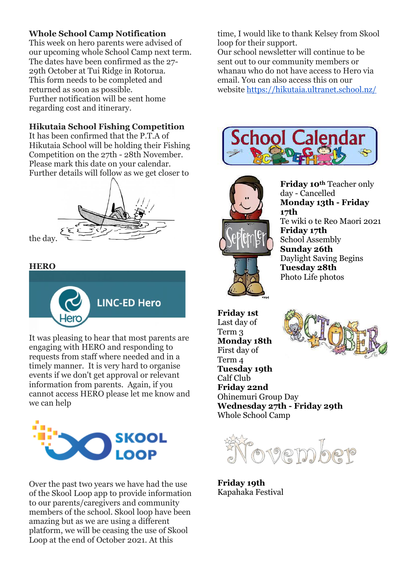### **Whole School Camp Notification**

This week on hero parents were advised of our upcoming whole School Camp next term. The dates have been confirmed as the 27- 29th October at Tui Ridge in Rotorua. This form needs to be completed and returned as soon as possible. Further notification will be sent home regarding cost and itinerary.

### **Hikutaia School Fishing Competition**

It has been confirmed that the P.T.A of Hikutaia School will be holding their Fishing Competition on the 27th - 28th November. Please mark this date on your calendar. Further details will follow as we get closer to



the day.

#### **HERO**



It was pleasing to hear that most parents are engaging with HERO and responding to requests from staff where needed and in a timely manner. It is very hard to organise events if we don't get approval or relevant information from parents. Again, if you cannot access HERO please let me know and we can help



Over the past two years we have had the use of the Skool Loop app to provide information to our parents/caregivers and community members of the school. Skool loop have been amazing but as we are using a different platform, we will be ceasing the use of Skool Loop at the end of October 2021. At this

time, I would like to thank Kelsey from Skool loop for their support.

Our school newsletter will continue to be sent out to our community members or whanau who do not have access to Hero via email. You can also access this on our website<https://hikutaia.ultranet.school.nz/>





**Friday 10th** Teacher only day - Cancelled **Monday 13th - Friday 17th** Te wiki o te Reo Maori 2021 **Friday 17th** School Assembly **Sunday 26th** Daylight Saving Begins **Tuesday 28th** Photo Life photos

**Friday 1st** Last day of Term 3 **Monday 18th** First day of Term 4 **Tuesday 19th** Calf Club **Friday 22nd** Ohinemuri Group Day **Wednesday 27th - Friday 29th** Whole School Camp



**Friday 19th** Kapahaka Festival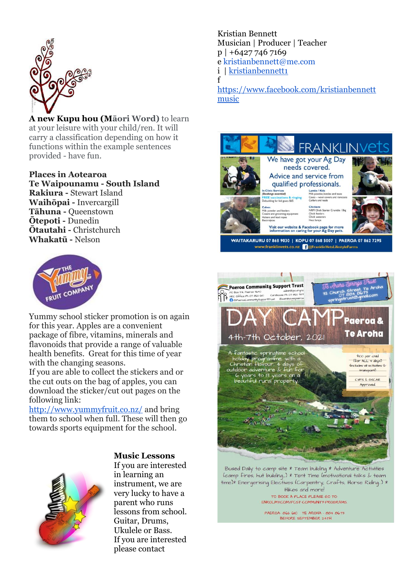

**A new Kupu hou (Māori Word)** to learn at your leisure with your child/ren. It will carry a classification depending on how it functions within the example sentences provided - have fun.

**Places in Aotearoa Te Waipounamu - South Island Rakiura -** Stewart Island **Waihōpai -** Invercargill **Tāhuna -** Queenstown **Ōtepoti -** Dunedin **Ōtautahi -** Christchurch **Whakatū -** Nelson



Yummy school sticker promotion is on again for this year. Apples are a convenient package of fibre, vitamins, minerals and flavonoids that provide a range of valuable health benefits. Great for this time of year with the changing seasons.

If you are able to collect the stickers and or the cut outs on the bag of apples, you can download the sticker/cut out pages on the following link:

<http://www.yummyfruit.co.nz/> and bring them to school when full. These will then go towards sports equipment for the school.



#### **Music Lessons**

If you are interested in learning an instrument, we are very lucky to have a parent who runs lessons from school. Guitar, Drums, Ukulele or Bass. If you are interested please contact

Kristian Bennett Musician | Producer | Teacher p | +6427 746 7169 e kristianbennett@me.com i | [kristianbennett1](https://l.facebook.com/l.php?u=https%3A%2F%2Fwww.instagram.com%2Fkristianbennett1%3Ffbclid%3DIwAR3ieJzUI2AzaGXYJTleWFP90UfmyYnXBQ7EhOo7GYR_bhm7MktX3VDCftQ&h=AT1wnkYm3-2uROTSKgParZxHNH1bSqt4L7Gg95T6BenaEpN7-ETFcLq4ycy0UUDo_BsDmQWBVBhLBOeMFoLbhG_DMGtUZEhQOmfBE0HzIXZIajpF-RbOnNE0Ri9mvTh_0icbCu4oU0hr1zg8kBPQU1c) f

[https://www.facebook.com/kristianbennett](https://www.facebook.com/profile.php?id=774498351) [music](https://www.facebook.com/profile.php?id=774498351)



Bused Daily to camp site \* Team building \* Adventure Activities (camp fires, hut building...) \* Tent Time (motivational talks & team time)\* Energerising Electives (Carpentry, Crafts, Horse Riding..) \* Hikes and more! TO BOOK A PLACE PLEASE GO TO

ENROLMY.COM/PCST-COMMUNITY-PROGRAMS

PAEROA- 862 GIO TE AROHA - 884 8673 BEFORE SEPTEMBER 24TH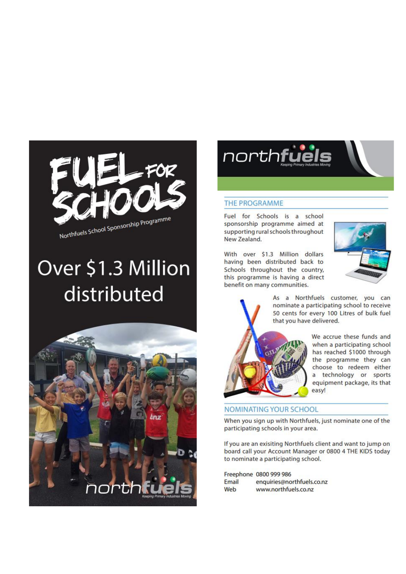

# Over \$1.3 Million distributed





#### **THE PROGRAMME**

Fuel for Schools is a school sponsorship programme aimed at supporting rural schools throughout New Zealand.

With over \$1.3 Million dollars having been distributed back to Schools throughout the country, this programme is having a direct benefit on many communities.



As a Northfuels customer, you can nominate a participating school to receive 50 cents for every 100 Litres of bulk fuel that you have delivered.



We accrue these funds and when a participating school has reached \$1000 through the programme they can choose to redeem either a technology or sports equipment package, its that easy!

#### **NOMINATING YOUR SCHOOL**

When you sign up with Northfuels, just nominate one of the participating schools in your area.

If you are an exisiting Northfuels client and want to jump on board call your Account Manager or 0800 4 THE KIDS today to nominate a participating school.

|       | Freephone 0800 999 986     |
|-------|----------------------------|
| Email | enquiries@northfuels.co.nz |
| Web   | www.northfuels.co.nz       |